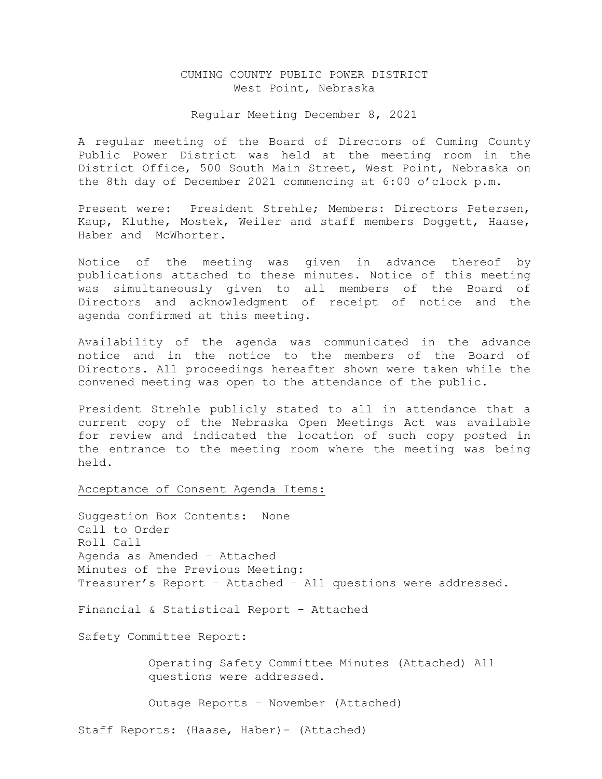# CUMING COUNTY PUBLIC POWER DISTRICT West Point, Nebraska

### Regular Meeting December 8, 2021

A regular meeting of the Board of Directors of Cuming County Public Power District was held at the meeting room in the District Office, 500 South Main Street, West Point, Nebraska on the 8th day of December 2021 commencing at 6:00 o'clock p.m.

Present were: President Strehle; Members: Directors Petersen, Kaup, Kluthe, Mostek, Weiler and staff members Doggett, Haase, Haber and McWhorter.

Notice of the meeting was given in advance thereof by publications attached to these minutes. Notice of this meeting was simultaneously given to all members of the Board of Directors and acknowledgment of receipt of notice and the agenda confirmed at this meeting.

Availability of the agenda was communicated in the advance notice and in the notice to the members of the Board of Directors. All proceedings hereafter shown were taken while the convened meeting was open to the attendance of the public.

President Strehle publicly stated to all in attendance that a current copy of the Nebraska Open Meetings Act was available for review and indicated the location of such copy posted in the entrance to the meeting room where the meeting was being held.

Acceptance of Consent Agenda Items:

Suggestion Box Contents: None Call to Order Roll Call Agenda as Amended – Attached Minutes of the Previous Meeting: Treasurer's Report – Attached – All questions were addressed.

Financial & Statistical Report - Attached

Safety Committee Report:

 Operating Safety Committee Minutes (Attached) All questions were addressed.

Outage Reports – November (Attached)

Staff Reports: (Haase, Haber)- (Attached)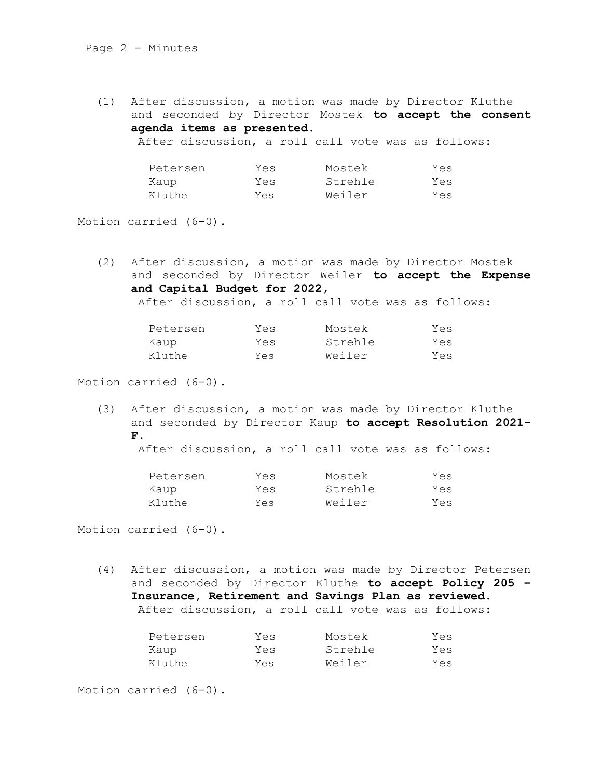(1) After discussion, a motion was made by Director Kluthe and seconded by Director Mostek **to accept the consent agenda items as presented.** After discussion, a roll call vote was as follows:

| Petersen | Yes | Mostek  | Yes |
|----------|-----|---------|-----|
| Kaup     | Yes | Strehle | Yes |
| Kluthe   | Yes | Weiler  | Yes |

Motion carried (6-0).

(2) After discussion, a motion was made by Director Mostek and seconded by Director Weiler **to accept the Expense and Capital Budget for 2022,**  After discussion, a roll call vote was as follows:

Petersen Yes Mostek Yes

| retersen | res | MOSTEK  | res |
|----------|-----|---------|-----|
| Kaup     | Yes | Strehle | Yes |
| Kluthe   | Yes | Weiler  | Yes |

Motion carried (6-0).

(3) After discussion, a motion was made by Director Kluthe and seconded by Director Kaup **to accept Resolution 2021- F.**

After discussion, a roll call vote was as follows:

| Petersen | Yes | Mostek  | Yes |
|----------|-----|---------|-----|
| Kaup     | Yes | Strehle | Yes |
| Kluthe   | Yes | Weiler  | Yes |

Motion carried (6-0).

(4) After discussion, a motion was made by Director Petersen and seconded by Director Kluthe **to accept Policy 205 – Insurance, Retirement and Savings Plan as reviewed.** After discussion, a roll call vote was as follows:

| Petersen | Yes | Mostek  | Yes |
|----------|-----|---------|-----|
| Kaup     | Yes | Strehle | Yes |
| Kluthe   | Yes | Weiler  | Yes |

Motion carried (6-0).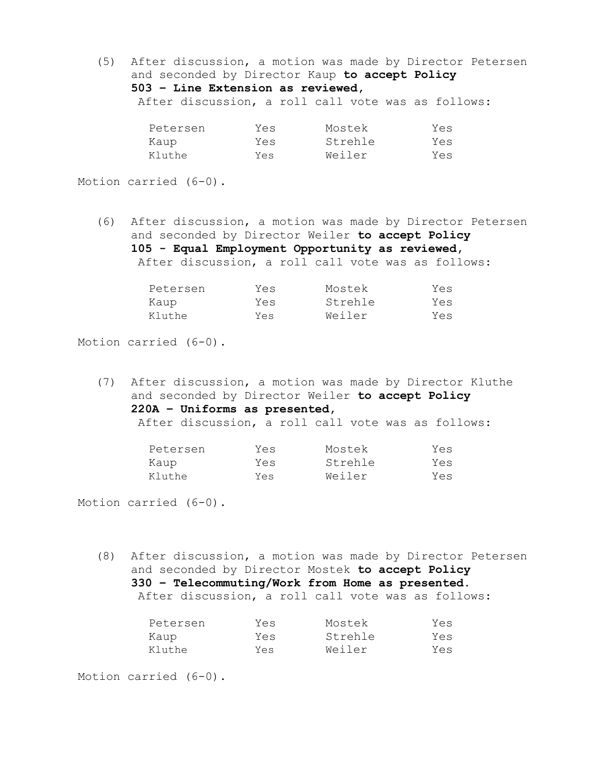(5) After discussion, a motion was made by Director Petersen and seconded by Director Kaup **to accept Policy 503 – Line Extension as reviewed,**  After discussion, a roll call vote was as follows:

| Petersen | Yes | Mostek  | Yes |
|----------|-----|---------|-----|
| Kaup     | Yes | Strehle | Yes |
| Kluthe   | Yes | Weiler  | Yes |

Motion carried (6-0).

(6) After discussion, a motion was made by Director Petersen and seconded by Director Weiler **to accept Policy 105 - Equal Employment Opportunity as reviewed,**  After discussion, a roll call vote was as follows:

| Petersen | Yes | Mostek  | Yes |
|----------|-----|---------|-----|
| Kaup     | Yes | Strehle | Yes |
| Kluthe   | Yes | Weiler  | Yes |

Motion carried (6-0).

(7) After discussion, a motion was made by Director Kluthe and seconded by Director Weiler **to accept Policy 220A – Uniforms as presented,**  After discussion, a roll call vote was as follows:

| Petersen | Yes | Mostek  | Yes |
|----------|-----|---------|-----|
| Kaup     | Yes | Strehle | Yes |
| Kluthe   | Yes | Weiler  | Yes |

Motion carried (6-0).

(8) After discussion, a motion was made by Director Petersen and seconded by Director Mostek **to accept Policy 330 – Telecommuting/Work from Home as presented.** After discussion, a roll call vote was as follows:

| Petersen | Yes | Mostek  | Yes |
|----------|-----|---------|-----|
| Kaup     | Yes | Strehle | Yes |
| Kluthe   | Yes | Weiler  | Yes |

Motion carried (6-0).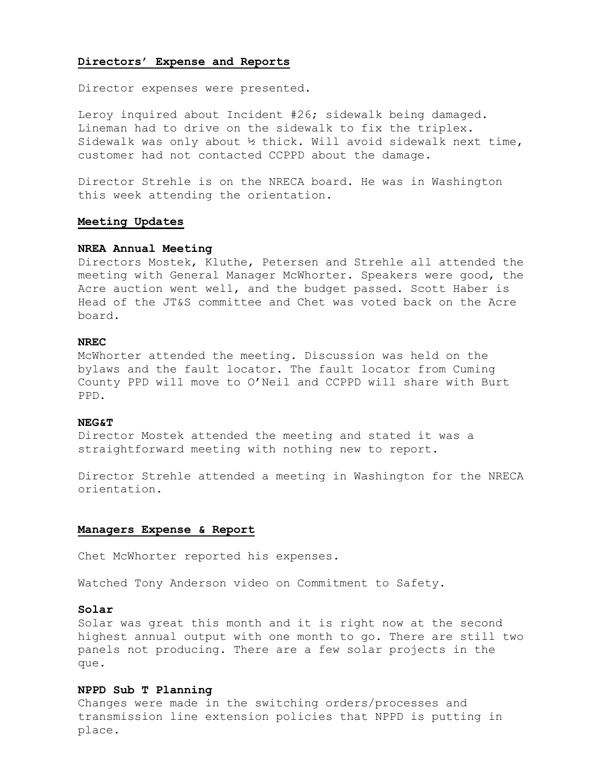# **Directors' Expense and Reports**

Director expenses were presented.

Leroy inquired about Incident #26; sidewalk being damaged. Lineman had to drive on the sidewalk to fix the triplex. Sidewalk was only about  $\frac{1}{2}$  thick. Will avoid sidewalk next time, customer had not contacted CCPPD about the damage.

Director Strehle is on the NRECA board. He was in Washington this week attending the orientation.

# **Meeting Updates**

# **NREA Annual Meeting**

Directors Mostek, Kluthe, Petersen and Strehle all attended the meeting with General Manager McWhorter. Speakers were good, the Acre auction went well, and the budget passed. Scott Haber is Head of the JT&S committee and Chet was voted back on the Acre board.

## **NREC**

McWhorter attended the meeting. Discussion was held on the bylaws and the fault locator. The fault locator from Cuming County PPD will move to O'Neil and CCPPD will share with Burt PPD.

#### **NEG&T**

Director Mostek attended the meeting and stated it was a straightforward meeting with nothing new to report.

Director Strehle attended a meeting in Washington for the NRECA orientation.

#### **Managers Expense & Report**

Chet McWhorter reported his expenses.

Watched Tony Anderson video on Commitment to Safety.

## **Solar**

Solar was great this month and it is right now at the second highest annual output with one month to go. There are still two panels not producing. There are a few solar projects in the que.

#### **NPPD Sub T Planning**

Changes were made in the switching orders/processes and transmission line extension policies that NPPD is putting in place.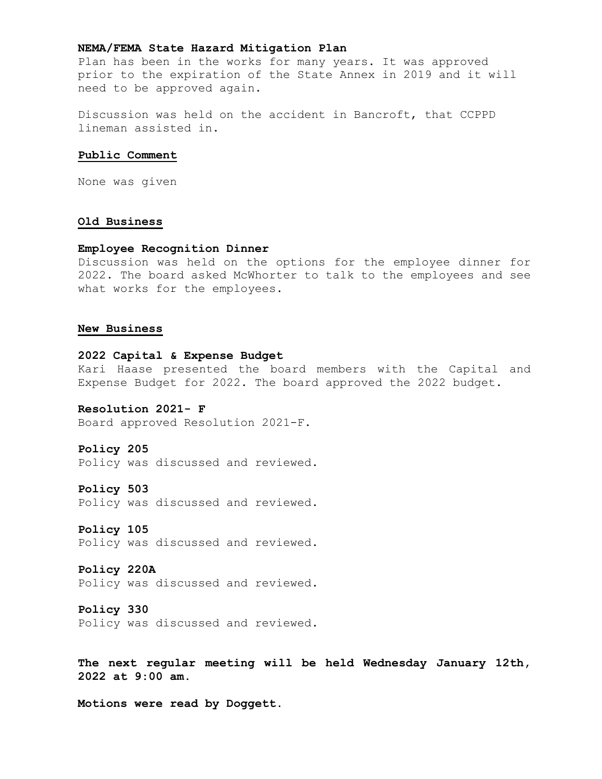# **NEMA/FEMA State Hazard Mitigation Plan**

Plan has been in the works for many years. It was approved prior to the expiration of the State Annex in 2019 and it will need to be approved again.

Discussion was held on the accident in Bancroft, that CCPPD lineman assisted in.

# **Public Comment**

None was given

# **Old Business**

# **Employee Recognition Dinner**

Discussion was held on the options for the employee dinner for 2022. The board asked McWhorter to talk to the employees and see what works for the employees.

### **New Business**

# **2022 Capital & Expense Budget**

Kari Haase presented the board members with the Capital and Expense Budget for 2022. The board approved the 2022 budget.

# **Resolution 2021- F**

Board approved Resolution 2021-F.

## **Policy 205**

Policy was discussed and reviewed.

# **Policy 503**

Policy was discussed and reviewed.

### **Policy 105**

Policy was discussed and reviewed.

### **Policy 220A**

Policy was discussed and reviewed.

#### **Policy 330**

Policy was discussed and reviewed.

**The next regular meeting will be held Wednesday January 12th, 2022 at 9:00 am.**

**Motions were read by Doggett.**